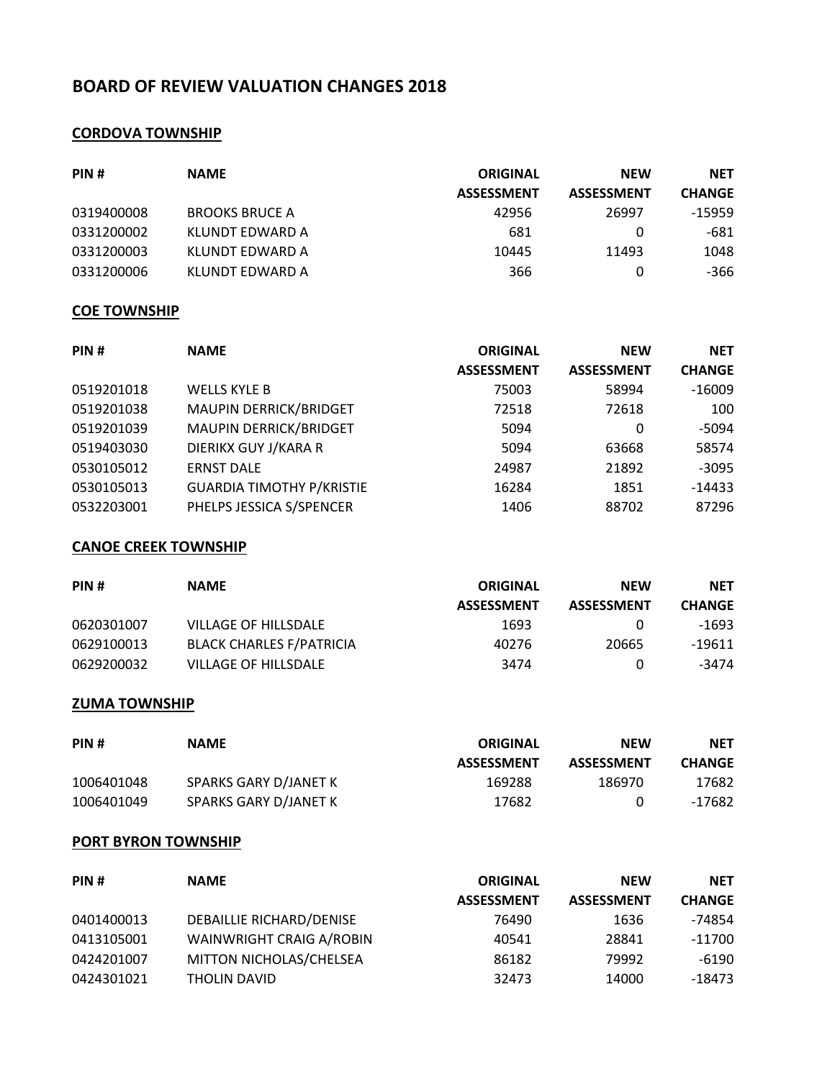# **BOARD OF REVIEW VALUATION CHANGES 2018**

#### **CORDOVA TOWNSHIP**

| PIN#       | <b>NAME</b>           | <b>ORIGINAL</b>   | <b>NEW</b>        | <b>NET</b>    |
|------------|-----------------------|-------------------|-------------------|---------------|
|            |                       | <b>ASSESSMENT</b> | <b>ASSESSMENT</b> | <b>CHANGE</b> |
| 0319400008 | <b>BROOKS BRUCE A</b> | 42956             | 26997             | -15959        |
| 0331200002 | KLUNDT EDWARD A       | 681               | 0                 | -681          |
| 0331200003 | KLUNDT EDWARD A       | 10445             | 11493             | 1048          |
| 0331200006 | KLUNDT EDWARD A       | 366               | 0                 | -366          |

### **COE TOWNSHIP**

| PIN#       | <b>NAME</b>                      | <b>ORIGINAL</b>   | <b>NEW</b>        | <b>NET</b>    |
|------------|----------------------------------|-------------------|-------------------|---------------|
|            |                                  | <b>ASSESSMENT</b> | <b>ASSESSMENT</b> | <b>CHANGE</b> |
| 0519201018 | <b>WELLS KYLE B</b>              | 75003             | 58994             | $-16009$      |
| 0519201038 | MAUPIN DERRICK/BRIDGET           | 72518             | 72618             | 100           |
| 0519201039 | MAUPIN DERRICK/BRIDGET           | 5094              | 0                 | -5094         |
| 0519403030 | DIERIKX GUY J/KARA R             | 5094              | 63668             | 58574         |
| 0530105012 | <b>ERNST DALE</b>                | 24987             | 21892             | $-3095$       |
| 0530105013 | <b>GUARDIA TIMOTHY P/KRISTIE</b> | 16284             | 1851              | $-14433$      |
| 0532203001 | PHELPS JESSICA S/SPENCER         | 1406              | 88702             | 87296         |

#### **CANOE CREEK TOWNSHIP**

| PIN#       | <b>NAME</b>                     | <b>ORIGINAL</b>   | <b>NEW</b>        | <b>NET</b>    |
|------------|---------------------------------|-------------------|-------------------|---------------|
|            |                                 | <b>ASSESSMENT</b> | <b>ASSESSMENT</b> | <b>CHANGE</b> |
| 0620301007 | VILLAGE OF HILLSDALE            | 1693              | 0                 | -1693         |
| 0629100013 | <b>BLACK CHARLES F/PATRICIA</b> | 40276             | 20665             | -19611        |
| 0629200032 | VILLAGE OF HILLSDALE            | 3474              | 0                 | -3474         |

#### **ZUMA TOWNSHIP**

| PIN#       | <b>NAME</b>           | <b>ORIGINAL</b>   | <b>NEW</b>        | <b>NET</b>    |
|------------|-----------------------|-------------------|-------------------|---------------|
|            |                       | <b>ASSESSMENT</b> | <b>ASSESSMENT</b> | <b>CHANGE</b> |
| 1006401048 | SPARKS GARY D/JANET K | 169288            | 186970            | 17682         |
| 1006401049 | SPARKS GARY D/JANET K | 17682             |                   | -17682        |

### **PORT BYRON TOWNSHIP**

| PIN#       | <b>NAME</b>                     | <b>ORIGINAL</b>   | <b>NEW</b>        | <b>NET</b>    |
|------------|---------------------------------|-------------------|-------------------|---------------|
|            |                                 | <b>ASSESSMENT</b> | <b>ASSESSMENT</b> | <b>CHANGE</b> |
| 0401400013 | <b>DEBAILLIE RICHARD/DENISE</b> | 76490             | 1636              | -74854        |
| 0413105001 | WAINWRIGHT CRAIG A/ROBIN        | 40541             | 28841             | $-11700$      |
| 0424201007 | MITTON NICHOLAS/CHELSEA         | 86182             | 79992             | $-6190$       |
| 0424301021 | THOLIN DAVID                    | 32473             | 14000             | $-18473$      |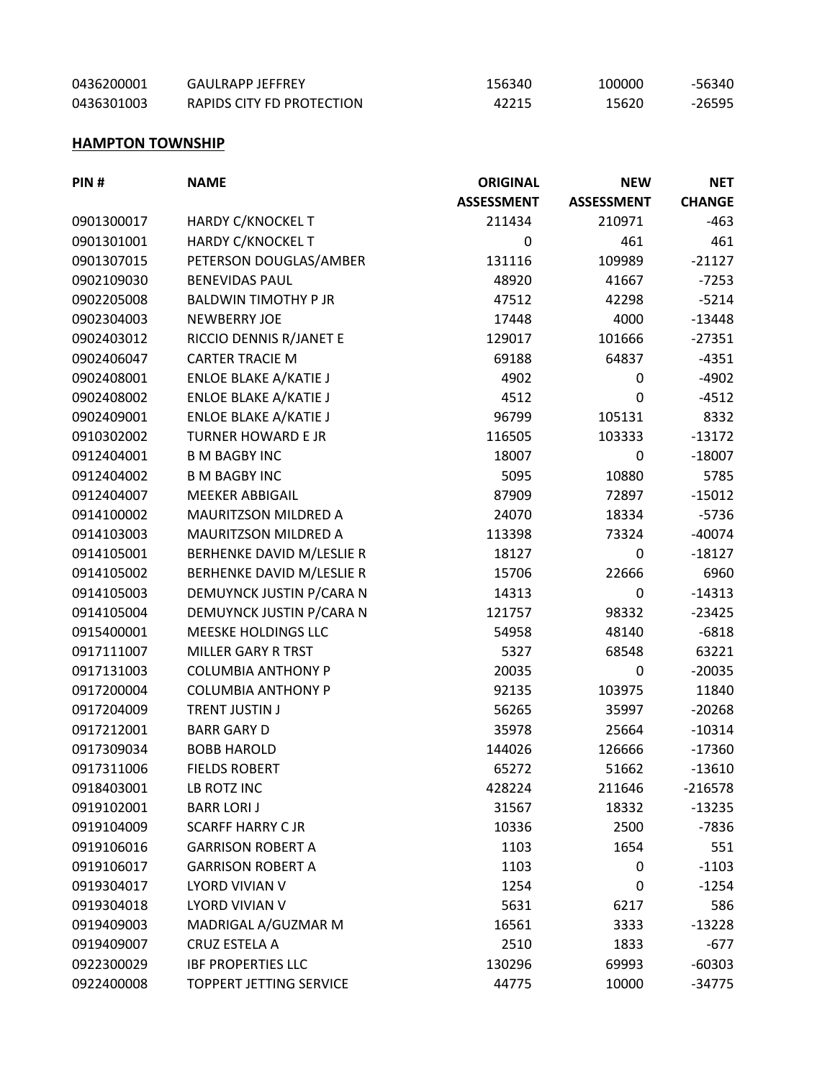| 0436200001 | <b>GAULRAPP JEFFREY</b>   | 156340 | 100000 | $-56340$ |
|------------|---------------------------|--------|--------|----------|
| 0436301003 | RAPIDS CITY FD PROTECTION | 42215  | 15620  | $-26595$ |

### **HAMPTON TOWNSHIP**

| PIN#       | <b>NAME</b>                  | <b>ORIGINAL</b>   | <b>NEW</b>        | <b>NET</b>    |
|------------|------------------------------|-------------------|-------------------|---------------|
|            |                              | <b>ASSESSMENT</b> | <b>ASSESSMENT</b> | <b>CHANGE</b> |
| 0901300017 | HARDY C/KNOCKEL T            | 211434            | 210971            | $-463$        |
| 0901301001 | HARDY C/KNOCKEL T            | 0                 | 461               | 461           |
| 0901307015 | PETERSON DOUGLAS/AMBER       | 131116            | 109989            | $-21127$      |
| 0902109030 | <b>BENEVIDAS PAUL</b>        | 48920             | 41667             | $-7253$       |
| 0902205008 | <b>BALDWIN TIMOTHY P JR</b>  | 47512             | 42298             | $-5214$       |
| 0902304003 | <b>NEWBERRY JOE</b>          | 17448             | 4000              | $-13448$      |
| 0902403012 | RICCIO DENNIS R/JANET E      | 129017            | 101666            | $-27351$      |
| 0902406047 | <b>CARTER TRACIE M</b>       | 69188             | 64837             | $-4351$       |
| 0902408001 | ENLOE BLAKE A/KATIE J        | 4902              | 0                 | $-4902$       |
| 0902408002 | <b>ENLOE BLAKE A/KATIE J</b> | 4512              | 0                 | $-4512$       |
| 0902409001 | ENLOE BLAKE A/KATIE J        | 96799             | 105131            | 8332          |
| 0910302002 | <b>TURNER HOWARD E JR</b>    | 116505            | 103333            | $-13172$      |
| 0912404001 | <b>B M BAGBY INC</b>         | 18007             | 0                 | $-18007$      |
| 0912404002 | <b>B M BAGBY INC</b>         | 5095              | 10880             | 5785          |
| 0912404007 | <b>MEEKER ABBIGAIL</b>       | 87909             | 72897             | $-15012$      |
| 0914100002 | MAURITZSON MILDRED A         | 24070             | 18334             | $-5736$       |
| 0914103003 | MAURITZSON MILDRED A         | 113398            | 73324             | $-40074$      |
| 0914105001 | BERHENKE DAVID M/LESLIE R    | 18127             | 0                 | $-18127$      |
| 0914105002 | BERHENKE DAVID M/LESLIE R    | 15706             | 22666             | 6960          |
| 0914105003 | DEMUYNCK JUSTIN P/CARA N     | 14313             | 0                 | $-14313$      |
| 0914105004 | DEMUYNCK JUSTIN P/CARA N     | 121757            | 98332             | $-23425$      |
| 0915400001 | MEESKE HOLDINGS LLC          | 54958             | 48140             | $-6818$       |
| 0917111007 | <b>MILLER GARY R TRST</b>    | 5327              | 68548             | 63221         |
| 0917131003 | <b>COLUMBIA ANTHONY P</b>    | 20035             | 0                 | $-20035$      |
| 0917200004 | <b>COLUMBIA ANTHONY P</b>    | 92135             | 103975            | 11840         |
| 0917204009 | TRENT JUSTIN J               | 56265             | 35997             | $-20268$      |
| 0917212001 | <b>BARR GARY D</b>           | 35978             | 25664             | $-10314$      |
| 0917309034 | <b>BOBB HAROLD</b>           | 144026            | 126666            | $-17360$      |
| 0917311006 | <b>FIELDS ROBERT</b>         | 65272             | 51662             | $-13610$      |
| 0918403001 | LB ROTZ INC                  | 428224            | 211646            | $-216578$     |
| 0919102001 | <b>BARR LORIJ</b>            | 31567             | 18332             | $-13235$      |
| 0919104009 | <b>SCARFF HARRY CJR</b>      | 10336             | 2500              | $-7836$       |
| 0919106016 | <b>GARRISON ROBERT A</b>     | 1103              | 1654              | 551           |
| 0919106017 | <b>GARRISON ROBERT A</b>     | 1103              | 0                 | $-1103$       |
| 0919304017 | LYORD VIVIAN V               | 1254              | 0                 | $-1254$       |
| 0919304018 | LYORD VIVIAN V               | 5631              | 6217              | 586           |
| 0919409003 | MADRIGAL A/GUZMAR M          | 16561             | 3333              | $-13228$      |
| 0919409007 | CRUZ ESTELA A                | 2510              | 1833              | $-677$        |
| 0922300029 | <b>IBF PROPERTIES LLC</b>    | 130296            | 69993             | $-60303$      |
| 0922400008 | TOPPERT JETTING SERVICE      | 44775             | 10000             | $-34775$      |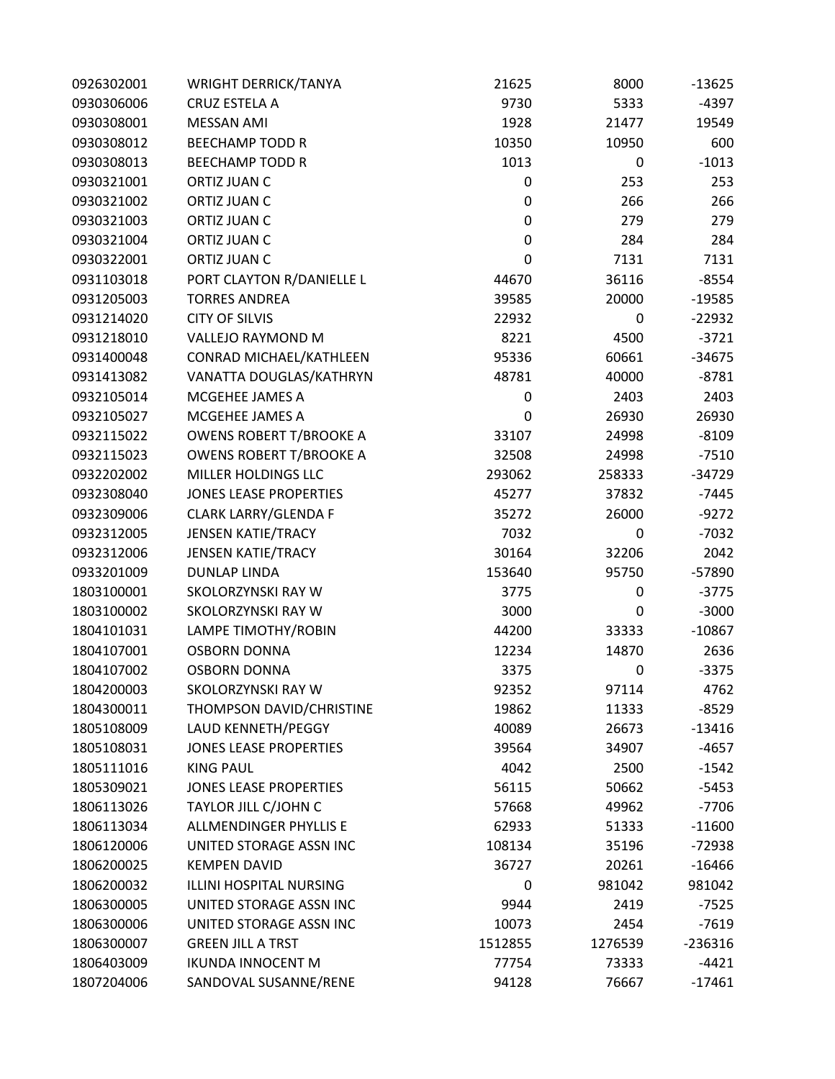| 0926302001 | WRIGHT DERRICK/TANYA           | 21625   | 8000    | $-13625$  |
|------------|--------------------------------|---------|---------|-----------|
| 0930306006 | CRUZ ESTELA A                  | 9730    | 5333    | $-4397$   |
| 0930308001 | <b>MESSAN AMI</b>              | 1928    | 21477   | 19549     |
| 0930308012 | <b>BEECHAMP TODD R</b>         | 10350   | 10950   | 600       |
| 0930308013 | <b>BEECHAMP TODD R</b>         | 1013    | 0       | $-1013$   |
| 0930321001 | ORTIZ JUAN C                   | 0       | 253     | 253       |
| 0930321002 | ORTIZ JUAN C                   | 0       | 266     | 266       |
| 0930321003 | ORTIZ JUAN C                   | 0       | 279     | 279       |
| 0930321004 | ORTIZ JUAN C                   | 0       | 284     | 284       |
| 0930322001 | ORTIZ JUAN C                   | 0       | 7131    | 7131      |
| 0931103018 | PORT CLAYTON R/DANIELLE L      | 44670   | 36116   | $-8554$   |
| 0931205003 | <b>TORRES ANDREA</b>           | 39585   | 20000   | $-19585$  |
| 0931214020 | <b>CITY OF SILVIS</b>          | 22932   | 0       | $-22932$  |
| 0931218010 | VALLEJO RAYMOND M              | 8221    | 4500    | $-3721$   |
| 0931400048 | CONRAD MICHAEL/KATHLEEN        | 95336   | 60661   | $-34675$  |
| 0931413082 | VANATTA DOUGLAS/KATHRYN        | 48781   | 40000   | $-8781$   |
| 0932105014 | MCGEHEE JAMES A                | 0       | 2403    | 2403      |
| 0932105027 | MCGEHEE JAMES A                | 0       | 26930   | 26930     |
| 0932115022 | <b>OWENS ROBERT T/BROOKE A</b> | 33107   | 24998   | $-8109$   |
| 0932115023 | <b>OWENS ROBERT T/BROOKE A</b> | 32508   | 24998   | $-7510$   |
| 0932202002 | MILLER HOLDINGS LLC            | 293062  | 258333  | $-34729$  |
| 0932308040 | <b>JONES LEASE PROPERTIES</b>  | 45277   | 37832   | $-7445$   |
| 0932309006 | CLARK LARRY/GLENDA F           | 35272   | 26000   | $-9272$   |
| 0932312005 | <b>JENSEN KATIE/TRACY</b>      | 7032    | 0       | $-7032$   |
| 0932312006 | <b>JENSEN KATIE/TRACY</b>      | 30164   | 32206   | 2042      |
| 0933201009 | <b>DUNLAP LINDA</b>            | 153640  | 95750   | -57890    |
| 1803100001 | SKOLORZYNSKI RAY W             | 3775    | 0       | $-3775$   |
| 1803100002 | SKOLORZYNSKI RAY W             | 3000    | 0       | $-3000$   |
| 1804101031 | LAMPE TIMOTHY/ROBIN            | 44200   | 33333   | $-10867$  |
| 1804107001 | <b>OSBORN DONNA</b>            | 12234   | 14870   | 2636      |
| 1804107002 | <b>OSBORN DONNA</b>            | 3375    | 0       | $-3375$   |
| 1804200003 | SKOLORZYNSKI RAY W             | 92352   | 97114   | 4762      |
| 1804300011 | THOMPSON DAVID/CHRISTINE       | 19862   | 11333   | $-8529$   |
| 1805108009 | LAUD KENNETH/PEGGY             | 40089   | 26673   | $-13416$  |
| 1805108031 | <b>JONES LEASE PROPERTIES</b>  | 39564   | 34907   | $-4657$   |
| 1805111016 | <b>KING PAUL</b>               | 4042    | 2500    | $-1542$   |
| 1805309021 | <b>JONES LEASE PROPERTIES</b>  | 56115   | 50662   | $-5453$   |
| 1806113026 | TAYLOR JILL C/JOHN C           | 57668   | 49962   | $-7706$   |
| 1806113034 | ALLMENDINGER PHYLLIS E         | 62933   | 51333   | $-11600$  |
| 1806120006 | UNITED STORAGE ASSN INC        | 108134  | 35196   | -72938    |
| 1806200025 | <b>KEMPEN DAVID</b>            | 36727   | 20261   | $-16466$  |
| 1806200032 | <b>ILLINI HOSPITAL NURSING</b> | 0       | 981042  | 981042    |
| 1806300005 | UNITED STORAGE ASSN INC        | 9944    | 2419    | $-7525$   |
| 1806300006 | UNITED STORAGE ASSN INC        | 10073   | 2454    | $-7619$   |
| 1806300007 | <b>GREEN JILL A TRST</b>       | 1512855 | 1276539 | $-236316$ |
| 1806403009 | <b>IKUNDA INNOCENT M</b>       | 77754   | 73333   | $-4421$   |
| 1807204006 | SANDOVAL SUSANNE/RENE          | 94128   | 76667   | $-17461$  |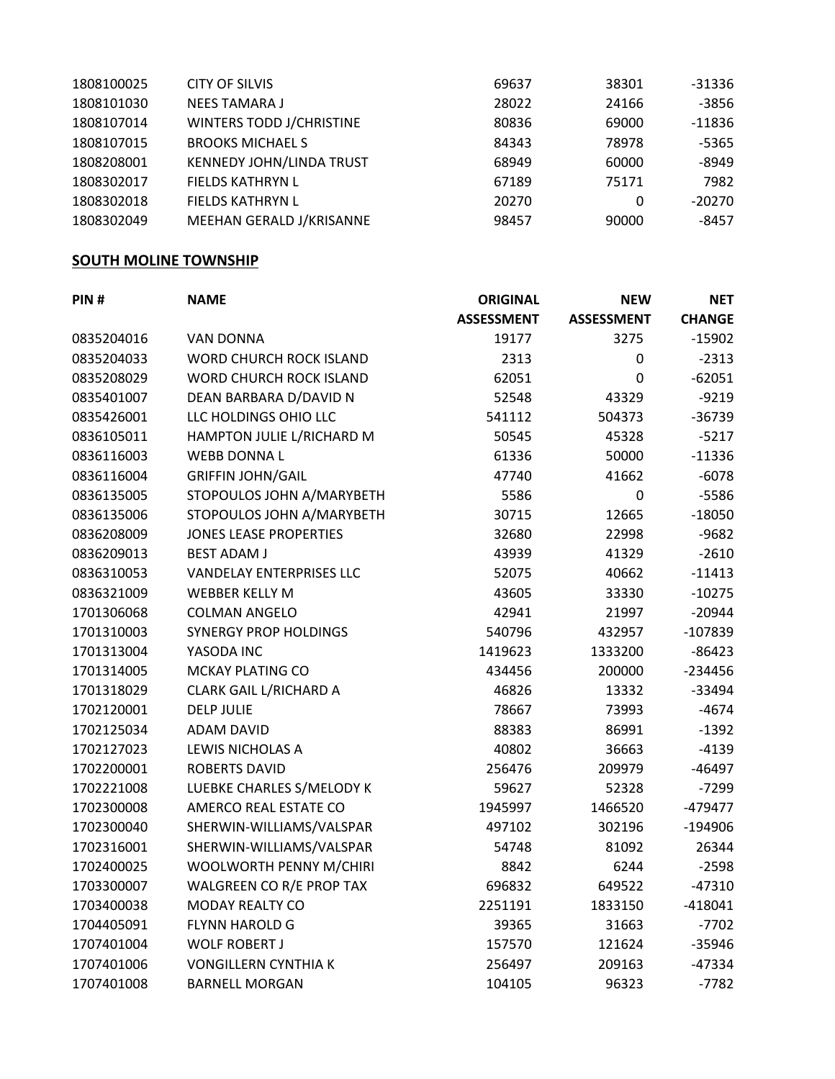| 1808100025 | <b>CITY OF SILVIS</b>    | 69637 | 38301 | $-31336$ |
|------------|--------------------------|-------|-------|----------|
| 1808101030 | <b>NEES TAMARA J</b>     | 28022 | 24166 | $-3856$  |
| 1808107014 | WINTERS TODD J/CHRISTINE | 80836 | 69000 | $-11836$ |
| 1808107015 | <b>BROOKS MICHAEL S</b>  | 84343 | 78978 | $-5365$  |
| 1808208001 | KENNEDY JOHN/LINDA TRUST | 68949 | 60000 | $-8949$  |
| 1808302017 | <b>FIELDS KATHRYN L</b>  | 67189 | 75171 | 7982     |
| 1808302018 | <b>FIELDS KATHRYN L</b>  | 20270 | 0     | $-20270$ |
| 1808302049 | MEEHAN GERALD J/KRISANNE | 98457 | 90000 | $-8457$  |
|            |                          |       |       |          |

### **SOUTH MOLINE TOWNSHIP**

| PIN#       | <b>NAME</b>                     | <b>ORIGINAL</b>   | <b>NEW</b>        | NET           |
|------------|---------------------------------|-------------------|-------------------|---------------|
|            |                                 | <b>ASSESSMENT</b> | <b>ASSESSMENT</b> | <b>CHANGE</b> |
| 0835204016 | <b>VAN DONNA</b>                | 19177             | 3275              | $-15902$      |
| 0835204033 | <b>WORD CHURCH ROCK ISLAND</b>  | 2313              | 0                 | $-2313$       |
| 0835208029 | <b>WORD CHURCH ROCK ISLAND</b>  | 62051             | 0                 | $-62051$      |
| 0835401007 | DEAN BARBARA D/DAVID N          | 52548             | 43329             | $-9219$       |
| 0835426001 | LLC HOLDINGS OHIO LLC           | 541112            | 504373            | $-36739$      |
| 0836105011 | HAMPTON JULIE L/RICHARD M       | 50545             | 45328             | $-5217$       |
| 0836116003 | <b>WEBB DONNA L</b>             | 61336             | 50000             | $-11336$      |
| 0836116004 | <b>GRIFFIN JOHN/GAIL</b>        | 47740             | 41662             | $-6078$       |
| 0836135005 | STOPOULOS JOHN A/MARYBETH       | 5586              | 0                 | $-5586$       |
| 0836135006 | STOPOULOS JOHN A/MARYBETH       | 30715             | 12665             | $-18050$      |
| 0836208009 | <b>JONES LEASE PROPERTIES</b>   | 32680             | 22998             | $-9682$       |
| 0836209013 | <b>BEST ADAM J</b>              | 43939             | 41329             | $-2610$       |
| 0836310053 | <b>VANDELAY ENTERPRISES LLC</b> | 52075             | 40662             | $-11413$      |
| 0836321009 | <b>WEBBER KELLY M</b>           | 43605             | 33330             | $-10275$      |
| 1701306068 | <b>COLMAN ANGELO</b>            | 42941             | 21997             | $-20944$      |
| 1701310003 | SYNERGY PROP HOLDINGS           | 540796            | 432957            | $-107839$     |
| 1701313004 | YASODA INC                      | 1419623           | 1333200           | $-86423$      |
| 1701314005 | MCKAY PLATING CO                | 434456            | 200000            | $-234456$     |
| 1701318029 | CLARK GAIL L/RICHARD A          | 46826             | 13332             | $-33494$      |
| 1702120001 | <b>DELP JULIE</b>               | 78667             | 73993             | $-4674$       |
| 1702125034 | <b>ADAM DAVID</b>               | 88383             | 86991             | $-1392$       |
| 1702127023 | LEWIS NICHOLAS A                | 40802             | 36663             | $-4139$       |
| 1702200001 | <b>ROBERTS DAVID</b>            | 256476            | 209979            | $-46497$      |
| 1702221008 | LUEBKE CHARLES S/MELODY K       | 59627             | 52328             | $-7299$       |
| 1702300008 | AMERCO REAL ESTATE CO           | 1945997           | 1466520           | $-479477$     |
| 1702300040 | SHERWIN-WILLIAMS/VALSPAR        | 497102            | 302196            | $-194906$     |
| 1702316001 | SHERWIN-WILLIAMS/VALSPAR        | 54748             | 81092             | 26344         |
| 1702400025 | WOOLWORTH PENNY M/CHIRI         | 8842              | 6244              | $-2598$       |
| 1703300007 | WALGREEN CO R/E PROP TAX        | 696832            | 649522            | $-47310$      |
| 1703400038 | <b>MODAY REALTY CO</b>          | 2251191           | 1833150           | $-418041$     |
| 1704405091 | <b>FLYNN HAROLD G</b>           | 39365             | 31663             | $-7702$       |
| 1707401004 | <b>WOLF ROBERT J</b>            | 157570            | 121624            | $-35946$      |
| 1707401006 | <b>VONGILLERN CYNTHIA K</b>     | 256497            | 209163            | $-47334$      |
| 1707401008 | <b>BARNELL MORGAN</b>           | 104105            | 96323             | $-7782$       |
|            |                                 |                   |                   |               |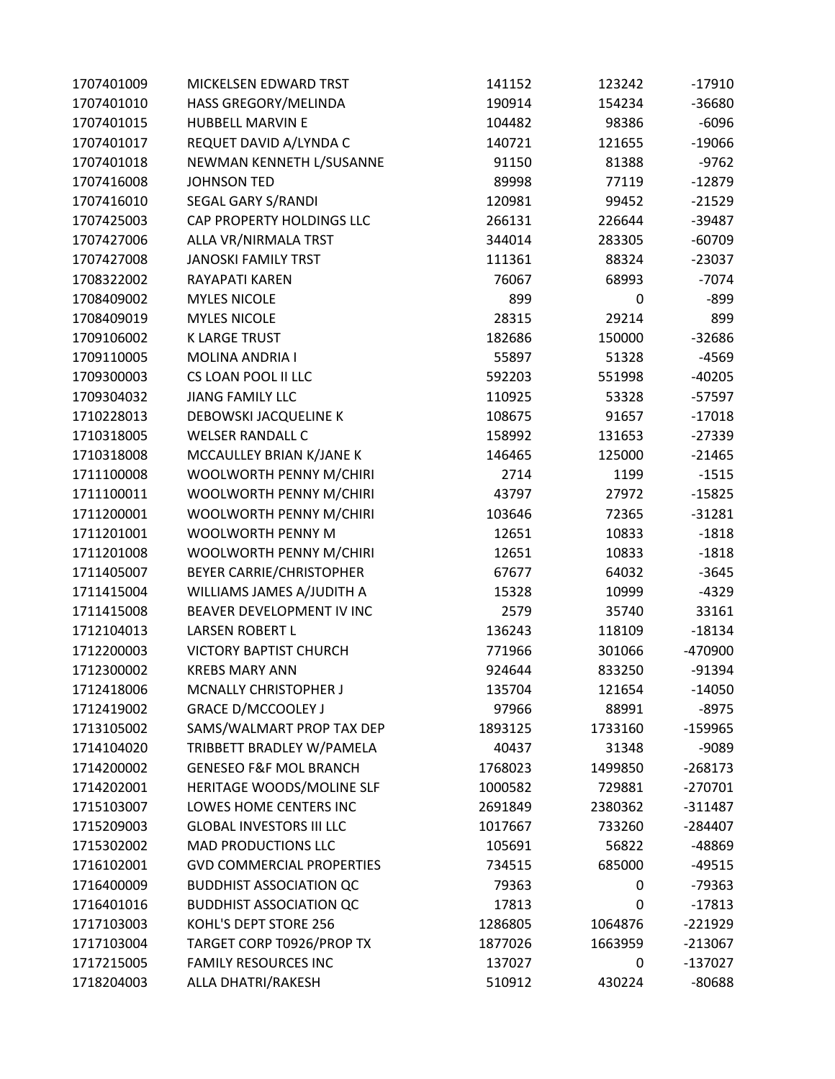| 1707401009 | MICKELSEN EDWARD TRST             | 141152  | 123242  | $-17910$  |
|------------|-----------------------------------|---------|---------|-----------|
| 1707401010 | HASS GREGORY/MELINDA              | 190914  | 154234  | $-36680$  |
| 1707401015 | <b>HUBBELL MARVIN E</b>           | 104482  | 98386   | $-6096$   |
| 1707401017 | REQUET DAVID A/LYNDA C            | 140721  | 121655  | $-19066$  |
| 1707401018 | NEWMAN KENNETH L/SUSANNE          | 91150   | 81388   | $-9762$   |
| 1707416008 | <b>JOHNSON TED</b>                | 89998   | 77119   | $-12879$  |
| 1707416010 | SEGAL GARY S/RANDI                | 120981  | 99452   | $-21529$  |
| 1707425003 | CAP PROPERTY HOLDINGS LLC         | 266131  | 226644  | $-39487$  |
| 1707427006 | ALLA VR/NIRMALA TRST              | 344014  | 283305  | $-60709$  |
| 1707427008 | <b>JANOSKI FAMILY TRST</b>        | 111361  | 88324   | $-23037$  |
| 1708322002 | RAYAPATI KAREN                    | 76067   | 68993   | $-7074$   |
| 1708409002 | <b>MYLES NICOLE</b>               | 899     | 0       | $-899$    |
| 1708409019 | <b>MYLES NICOLE</b>               | 28315   | 29214   | 899       |
| 1709106002 | <b>K LARGE TRUST</b>              | 182686  | 150000  | $-32686$  |
| 1709110005 | MOLINA ANDRIA I                   | 55897   | 51328   | $-4569$   |
| 1709300003 | CS LOAN POOL II LLC               | 592203  | 551998  | $-40205$  |
| 1709304032 | <b>JIANG FAMILY LLC</b>           | 110925  | 53328   | $-57597$  |
| 1710228013 | DEBOWSKI JACQUELINE K             | 108675  | 91657   | $-17018$  |
| 1710318005 | <b>WELSER RANDALL C</b>           | 158992  | 131653  | $-27339$  |
| 1710318008 | MCCAULLEY BRIAN K/JANE K          | 146465  | 125000  | $-21465$  |
| 1711100008 | WOOLWORTH PENNY M/CHIRI           | 2714    | 1199    | $-1515$   |
| 1711100011 | WOOLWORTH PENNY M/CHIRI           | 43797   | 27972   | $-15825$  |
| 1711200001 | WOOLWORTH PENNY M/CHIRI           | 103646  | 72365   | $-31281$  |
| 1711201001 | <b>WOOLWORTH PENNY M</b>          | 12651   | 10833   | $-1818$   |
| 1711201008 | WOOLWORTH PENNY M/CHIRI           | 12651   | 10833   | $-1818$   |
| 1711405007 | BEYER CARRIE/CHRISTOPHER          | 67677   | 64032   | $-3645$   |
| 1711415004 | WILLIAMS JAMES A/JUDITH A         | 15328   | 10999   | $-4329$   |
| 1711415008 | BEAVER DEVELOPMENT IV INC         | 2579    | 35740   | 33161     |
| 1712104013 | <b>LARSEN ROBERT L</b>            | 136243  | 118109  | $-18134$  |
| 1712200003 | <b>VICTORY BAPTIST CHURCH</b>     | 771966  | 301066  | -470900   |
| 1712300002 | <b>KREBS MARY ANN</b>             | 924644  | 833250  | $-91394$  |
| 1712418006 | MCNALLY CHRISTOPHER J             | 135704  | 121654  | $-14050$  |
| 1712419002 | <b>GRACE D/MCCOOLEY J</b>         | 97966   | 88991   | $-8975$   |
| 1713105002 | SAMS/WALMART PROP TAX DEP         | 1893125 | 1733160 | $-159965$ |
| 1714104020 | TRIBBETT BRADLEY W/PAMELA         | 40437   | 31348   | $-9089$   |
| 1714200002 | <b>GENESEO F&amp;F MOL BRANCH</b> | 1768023 | 1499850 | $-268173$ |
| 1714202001 | HERITAGE WOODS/MOLINE SLF         | 1000582 | 729881  | $-270701$ |
| 1715103007 | <b>LOWES HOME CENTERS INC</b>     | 2691849 | 2380362 | $-311487$ |
| 1715209003 | <b>GLOBAL INVESTORS III LLC</b>   | 1017667 | 733260  | $-284407$ |
| 1715302002 | <b>MAD PRODUCTIONS LLC</b>        | 105691  | 56822   | -48869    |
| 1716102001 | <b>GVD COMMERCIAL PROPERTIES</b>  | 734515  | 685000  | $-49515$  |
| 1716400009 | <b>BUDDHIST ASSOCIATION QC</b>    | 79363   | 0       | $-79363$  |
| 1716401016 | <b>BUDDHIST ASSOCIATION QC</b>    | 17813   | 0       | $-17813$  |
| 1717103003 | KOHL'S DEPT STORE 256             | 1286805 | 1064876 | $-221929$ |
| 1717103004 | TARGET CORP T0926/PROP TX         | 1877026 | 1663959 | $-213067$ |
| 1717215005 | <b>FAMILY RESOURCES INC</b>       | 137027  | 0       | $-137027$ |
| 1718204003 | ALLA DHATRI/RAKESH                | 510912  | 430224  | $-80688$  |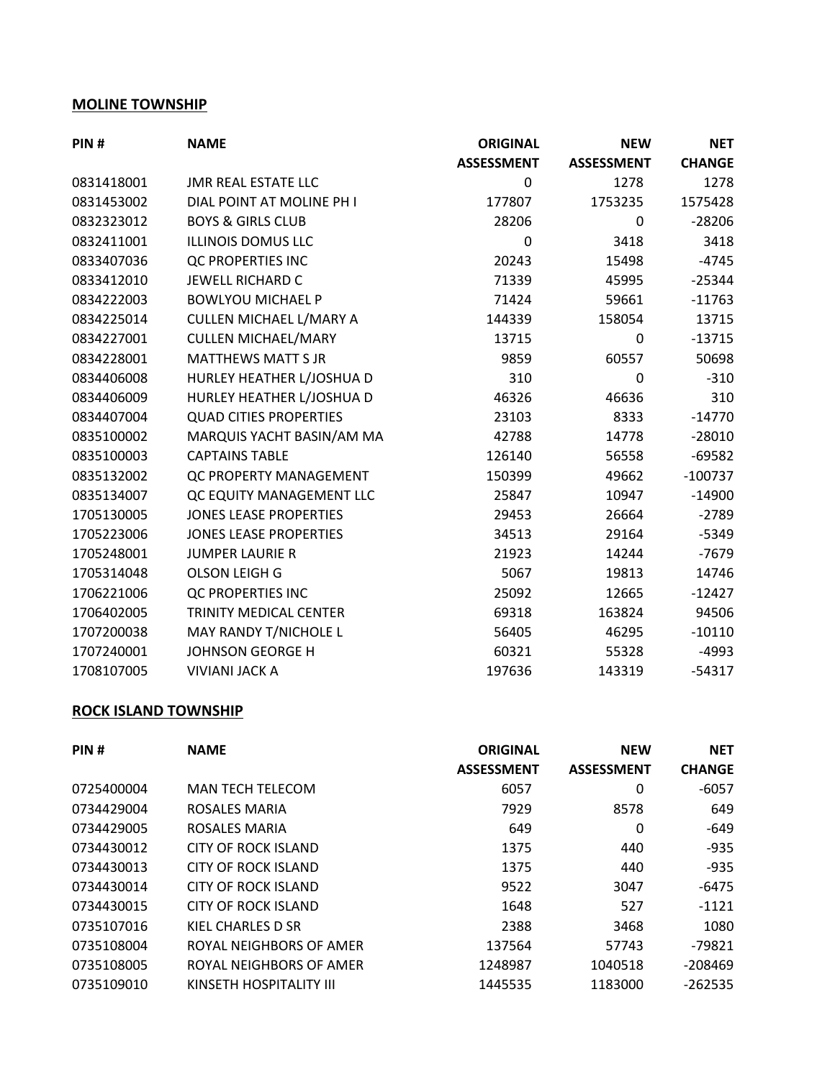### **MOLINE TOWNSHIP**

| PIN#       | <b>NAME</b>                   | <b>ORIGINAL</b>   | <b>NEW</b>        | <b>NET</b>    |
|------------|-------------------------------|-------------------|-------------------|---------------|
|            |                               | <b>ASSESSMENT</b> | <b>ASSESSMENT</b> | <b>CHANGE</b> |
| 0831418001 | <b>JMR REAL ESTATE LLC</b>    | 0                 | 1278              | 1278          |
| 0831453002 | DIAL POINT AT MOLINE PH I     | 177807            | 1753235           | 1575428       |
| 0832323012 | <b>BOYS &amp; GIRLS CLUB</b>  | 28206             | 0                 | $-28206$      |
| 0832411001 | <b>ILLINOIS DOMUS LLC</b>     | 0                 | 3418              | 3418          |
| 0833407036 | QC PROPERTIES INC             | 20243             | 15498             | $-4745$       |
| 0833412010 | JEWELL RICHARD C              | 71339             | 45995             | $-25344$      |
| 0834222003 | <b>BOWLYOU MICHAEL P</b>      | 71424             | 59661             | $-11763$      |
| 0834225014 | CULLEN MICHAEL L/MARY A       | 144339            | 158054            | 13715         |
| 0834227001 | <b>CULLEN MICHAEL/MARY</b>    | 13715             | 0                 | $-13715$      |
| 0834228001 | <b>MATTHEWS MATT S JR</b>     | 9859              | 60557             | 50698         |
| 0834406008 | HURLEY HEATHER L/JOSHUA D     | 310               | 0                 | $-310$        |
| 0834406009 | HURLEY HEATHER L/JOSHUA D     | 46326             | 46636             | 310           |
| 0834407004 | <b>QUAD CITIES PROPERTIES</b> | 23103             | 8333              | $-14770$      |
| 0835100002 | MARQUIS YACHT BASIN/AM MA     | 42788             | 14778             | $-28010$      |
| 0835100003 | <b>CAPTAINS TABLE</b>         | 126140            | 56558             | $-69582$      |
| 0835132002 | QC PROPERTY MANAGEMENT        | 150399            | 49662             | $-100737$     |
| 0835134007 | QC EQUITY MANAGEMENT LLC      | 25847             | 10947             | $-14900$      |
| 1705130005 | <b>JONES LEASE PROPERTIES</b> | 29453             | 26664             | $-2789$       |
| 1705223006 | <b>JONES LEASE PROPERTIES</b> | 34513             | 29164             | $-5349$       |
| 1705248001 | <b>JUMPER LAURIE R</b>        | 21923             | 14244             | $-7679$       |
| 1705314048 | OLSON LEIGH G                 | 5067              | 19813             | 14746         |
| 1706221006 | QC PROPERTIES INC             | 25092             | 12665             | $-12427$      |
| 1706402005 | <b>TRINITY MEDICAL CENTER</b> | 69318             | 163824            | 94506         |
| 1707200038 | MAY RANDY T/NICHOLE L         | 56405             | 46295             | $-10110$      |
| 1707240001 | <b>JOHNSON GEORGE H</b>       | 60321             | 55328             | $-4993$       |
| 1708107005 | <b>VIVIANI JACK A</b>         | 197636            | 143319            | $-54317$      |

### **ROCK ISLAND TOWNSHIP**

| PIN#       | <b>NAME</b>             | <b>ORIGINAL</b>   | <b>NEW</b>        | <b>NET</b>    |
|------------|-------------------------|-------------------|-------------------|---------------|
|            |                         | <b>ASSESSMENT</b> | <b>ASSESSMENT</b> | <b>CHANGE</b> |
| 0725400004 | <b>MAN TECH TELECOM</b> | 6057              | 0                 | $-6057$       |
| 0734429004 | <b>ROSALES MARIA</b>    | 7929              | 8578              | 649           |
| 0734429005 | ROSALES MARIA           | 649               | 0                 | -649          |
| 0734430012 | CITY OF ROCK ISLAND     | 1375              | 440               | $-935$        |
| 0734430013 | CITY OF ROCK ISLAND     | 1375              | 440               | $-935$        |
| 0734430014 | CITY OF ROCK ISLAND     | 9522              | 3047              | $-6475$       |
| 0734430015 | CITY OF ROCK ISLAND     | 1648              | 527               | $-1121$       |
| 0735107016 | KIEL CHARLES D SR       | 2388              | 3468              | 1080          |
| 0735108004 | ROYAL NEIGHBORS OF AMER | 137564            | 57743             | $-79821$      |
| 0735108005 | ROYAL NEIGHBORS OF AMER | 1248987           | 1040518           | $-208469$     |
| 0735109010 | KINSETH HOSPITALITY III | 1445535           | 1183000           | $-262535$     |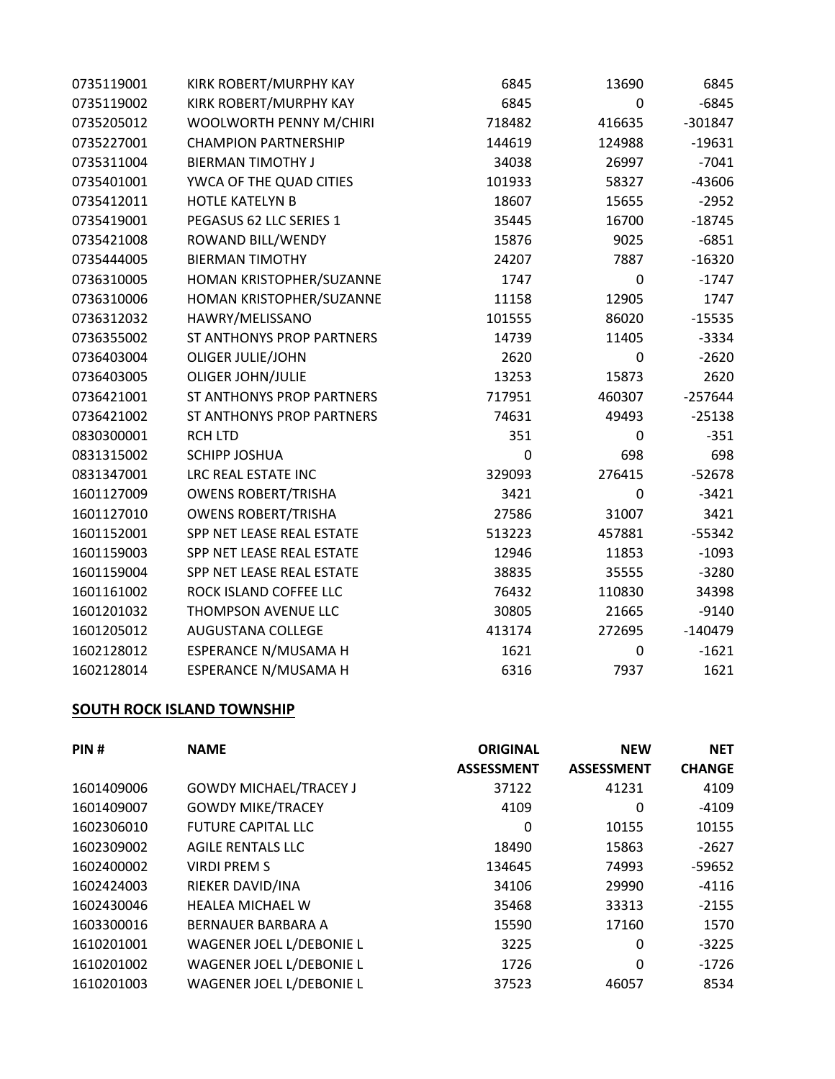| 0735119001 | KIRK ROBERT/MURPHY KAY           | 6845        | 13690        | 6845      |
|------------|----------------------------------|-------------|--------------|-----------|
| 0735119002 | KIRK ROBERT/MURPHY KAY           | 6845        | 0            | $-6845$   |
| 0735205012 | WOOLWORTH PENNY M/CHIRI          | 718482      | 416635       | $-301847$ |
| 0735227001 | <b>CHAMPION PARTNERSHIP</b>      | 144619      | 124988       | $-19631$  |
| 0735311004 | <b>BIERMAN TIMOTHY J</b>         | 34038       | 26997        | $-7041$   |
| 0735401001 | YWCA OF THE QUAD CITIES          | 101933      | 58327        | $-43606$  |
| 0735412011 | <b>HOTLE KATELYN B</b>           | 18607       | 15655        | $-2952$   |
| 0735419001 | PEGASUS 62 LLC SERIES 1          | 35445       | 16700        | $-18745$  |
| 0735421008 | ROWAND BILL/WENDY                | 15876       | 9025         | $-6851$   |
| 0735444005 | <b>BIERMAN TIMOTHY</b>           | 24207       | 7887         | $-16320$  |
| 0736310005 | HOMAN KRISTOPHER/SUZANNE         | 1747        | $\mathbf{0}$ | $-1747$   |
| 0736310006 | HOMAN KRISTOPHER/SUZANNE         | 11158       | 12905        | 1747      |
| 0736312032 | HAWRY/MELISSANO                  | 101555      | 86020        | $-15535$  |
| 0736355002 | ST ANTHONYS PROP PARTNERS        | 14739       | 11405        | $-3334$   |
| 0736403004 | <b>OLIGER JULIE/JOHN</b>         | 2620        | 0            | $-2620$   |
| 0736403005 | OLIGER JOHN/JULIE                | 13253       | 15873        | 2620      |
| 0736421001 | <b>ST ANTHONYS PROP PARTNERS</b> | 717951      | 460307       | $-257644$ |
| 0736421002 | <b>ST ANTHONYS PROP PARTNERS</b> | 74631       | 49493        | $-25138$  |
| 0830300001 | <b>RCH LTD</b>                   | 351         | 0            | $-351$    |
| 0831315002 | <b>SCHIPP JOSHUA</b>             | $\mathbf 0$ | 698          | 698       |
| 0831347001 | LRC REAL ESTATE INC              | 329093      | 276415       | $-52678$  |
| 1601127009 | <b>OWENS ROBERT/TRISHA</b>       | 3421        | $\mathbf 0$  | $-3421$   |
| 1601127010 | <b>OWENS ROBERT/TRISHA</b>       | 27586       | 31007        | 3421      |
| 1601152001 | SPP NET LEASE REAL ESTATE        | 513223      | 457881       | $-55342$  |
| 1601159003 | SPP NET LEASE REAL ESTATE        | 12946       | 11853        | $-1093$   |
| 1601159004 | SPP NET LEASE REAL ESTATE        | 38835       | 35555        | $-3280$   |
| 1601161002 | ROCK ISLAND COFFEE LLC           | 76432       | 110830       | 34398     |
| 1601201032 | THOMPSON AVENUE LLC              | 30805       | 21665        | $-9140$   |
| 1601205012 | AUGUSTANA COLLEGE                | 413174      | 272695       | $-140479$ |
| 1602128012 | ESPERANCE N/MUSAMA H             | 1621        | 0            | $-1621$   |
| 1602128014 | ESPERANCE N/MUSAMA H             | 6316        | 7937         | 1621      |

### **SOUTH ROCK ISLAND TOWNSHIP**

| PIN#       | <b>NAME</b>                   | <b>ORIGINAL</b>   | <b>NEW</b>        | <b>NET</b>    |
|------------|-------------------------------|-------------------|-------------------|---------------|
|            |                               | <b>ASSESSMENT</b> | <b>ASSESSMENT</b> | <b>CHANGE</b> |
| 1601409006 | <b>GOWDY MICHAEL/TRACEY J</b> | 37122             | 41231             | 4109          |
| 1601409007 | <b>GOWDY MIKE/TRACEY</b>      | 4109              | 0                 | $-4109$       |
| 1602306010 | <b>FUTURE CAPITAL LLC</b>     | 0                 | 10155             | 10155         |
| 1602309002 | <b>AGILE RENTALS LLC</b>      | 18490             | 15863             | $-2627$       |
| 1602400002 | <b>VIRDI PREM S</b>           | 134645            | 74993             | $-59652$      |
| 1602424003 | RIEKER DAVID/INA              | 34106             | 29990             | $-4116$       |
| 1602430046 | <b>HEALEA MICHAEL W</b>       | 35468             | 33313             | $-2155$       |
| 1603300016 | BERNAUER BARBARA A            | 15590             | 17160             | 1570          |
| 1610201001 | WAGENER JOEL L/DEBONIE L      | 3225              | 0                 | $-3225$       |
| 1610201002 | WAGENER JOEL L/DEBONIE L      | 1726              | 0                 | $-1726$       |
| 1610201003 | WAGENER JOEL L/DEBONIE L      | 37523             | 46057             | 8534          |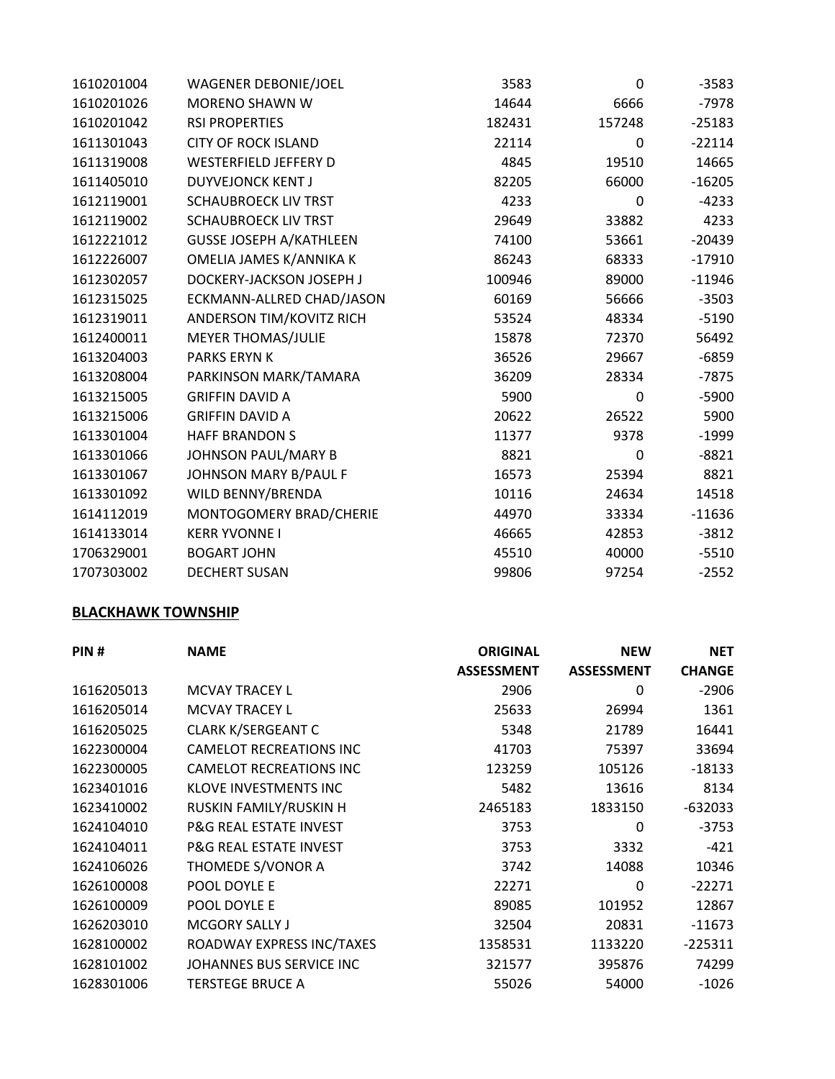| 1610201004 | <b>WAGENER DEBONIE/JOEL</b>    | 3583   | 0            | $-3583$  |
|------------|--------------------------------|--------|--------------|----------|
| 1610201026 | <b>MORENO SHAWN W</b>          | 14644  | 6666         | $-7978$  |
| 1610201042 | <b>RSI PROPERTIES</b>          | 182431 | 157248       | $-25183$ |
| 1611301043 | <b>CITY OF ROCK ISLAND</b>     | 22114  | $\mathbf{0}$ | $-22114$ |
| 1611319008 | <b>WESTERFIELD JEFFERY D</b>   | 4845   | 19510        | 14665    |
| 1611405010 | <b>DUYVEJONCK KENT J</b>       | 82205  | 66000        | $-16205$ |
| 1612119001 | <b>SCHAUBROECK LIV TRST</b>    | 4233   | 0            | $-4233$  |
| 1612119002 | <b>SCHAUBROECK LIV TRST</b>    | 29649  | 33882        | 4233     |
| 1612221012 | <b>GUSSE JOSEPH A/KATHLEEN</b> | 74100  | 53661        | $-20439$ |
| 1612226007 | OMELIA JAMES K/ANNIKA K        | 86243  | 68333        | $-17910$ |
| 1612302057 | DOCKERY-JACKSON JOSEPH J       | 100946 | 89000        | $-11946$ |
| 1612315025 | ECKMANN-ALLRED CHAD/JASON      | 60169  | 56666        | $-3503$  |
| 1612319011 | ANDERSON TIM/KOVITZ RICH       | 53524  | 48334        | $-5190$  |
| 1612400011 | MEYER THOMAS/JULIE             | 15878  | 72370        | 56492    |
| 1613204003 | <b>PARKS ERYN K</b>            | 36526  | 29667        | $-6859$  |
| 1613208004 | PARKINSON MARK/TAMARA          | 36209  | 28334        | $-7875$  |
| 1613215005 | <b>GRIFFIN DAVID A</b>         | 5900   | 0            | $-5900$  |
| 1613215006 | <b>GRIFFIN DAVID A</b>         | 20622  | 26522        | 5900     |
| 1613301004 | <b>HAFF BRANDON S</b>          | 11377  | 9378         | $-1999$  |
| 1613301066 | JOHNSON PAUL/MARY B            | 8821   | 0            | $-8821$  |
| 1613301067 | JOHNSON MARY B/PAUL F          | 16573  | 25394        | 8821     |
| 1613301092 | WILD BENNY/BRENDA              | 10116  | 24634        | 14518    |
| 1614112019 | MONTOGOMERY BRAD/CHERIE        | 44970  | 33334        | $-11636$ |
| 1614133014 | <b>KERR YVONNE I</b>           | 46665  | 42853        | $-3812$  |
| 1706329001 | <b>BOGART JOHN</b>             | 45510  | 40000        | $-5510$  |
| 1707303002 | <b>DECHERT SUSAN</b>           | 99806  | 97254        | $-2552$  |

### **BLACKHAWK TOWNSHIP**

| PIN#       | <b>NAME</b>                       | <b>ORIGINAL</b>   | <b>NEW</b>        | <b>NET</b>    |
|------------|-----------------------------------|-------------------|-------------------|---------------|
|            |                                   | <b>ASSESSMENT</b> | <b>ASSESSMENT</b> | <b>CHANGE</b> |
| 1616205013 | <b>MCVAY TRACEY L</b>             | 2906              | 0                 | $-2906$       |
| 1616205014 | <b>MCVAY TRACEY L</b>             | 25633             | 26994             | 1361          |
| 1616205025 | <b>CLARK K/SERGEANT C</b>         | 5348              | 21789             | 16441         |
| 1622300004 | <b>CAMELOT RECREATIONS INC</b>    | 41703             | 75397             | 33694         |
| 1622300005 | <b>CAMELOT RECREATIONS INC</b>    | 123259            | 105126            | $-18133$      |
| 1623401016 | KLOVE INVESTMENTS INC             | 5482              | 13616             | 8134          |
| 1623410002 | RUSKIN FAMILY/RUSKIN H            | 2465183           | 1833150           | $-632033$     |
| 1624104010 | <b>P&amp;G REAL ESTATE INVEST</b> | 3753              | 0                 | $-3753$       |
| 1624104011 | <b>P&amp;G REAL ESTATE INVEST</b> | 3753              | 3332              | $-421$        |
| 1624106026 | THOMEDE S/VONOR A                 | 3742              | 14088             | 10346         |
| 1626100008 | POOL DOYLE E                      | 22271             | 0                 | $-22271$      |
| 1626100009 | POOL DOYLE E                      | 89085             | 101952            | 12867         |
| 1626203010 | <b>MCGORY SALLY J</b>             | 32504             | 20831             | $-11673$      |
| 1628100002 | ROADWAY EXPRESS INC/TAXES         | 1358531           | 1133220           | $-225311$     |
| 1628101002 | JOHANNES BUS SERVICE INC          | 321577            | 395876            | 74299         |
| 1628301006 | <b>TERSTEGE BRUCE A</b>           | 55026             | 54000             | $-1026$       |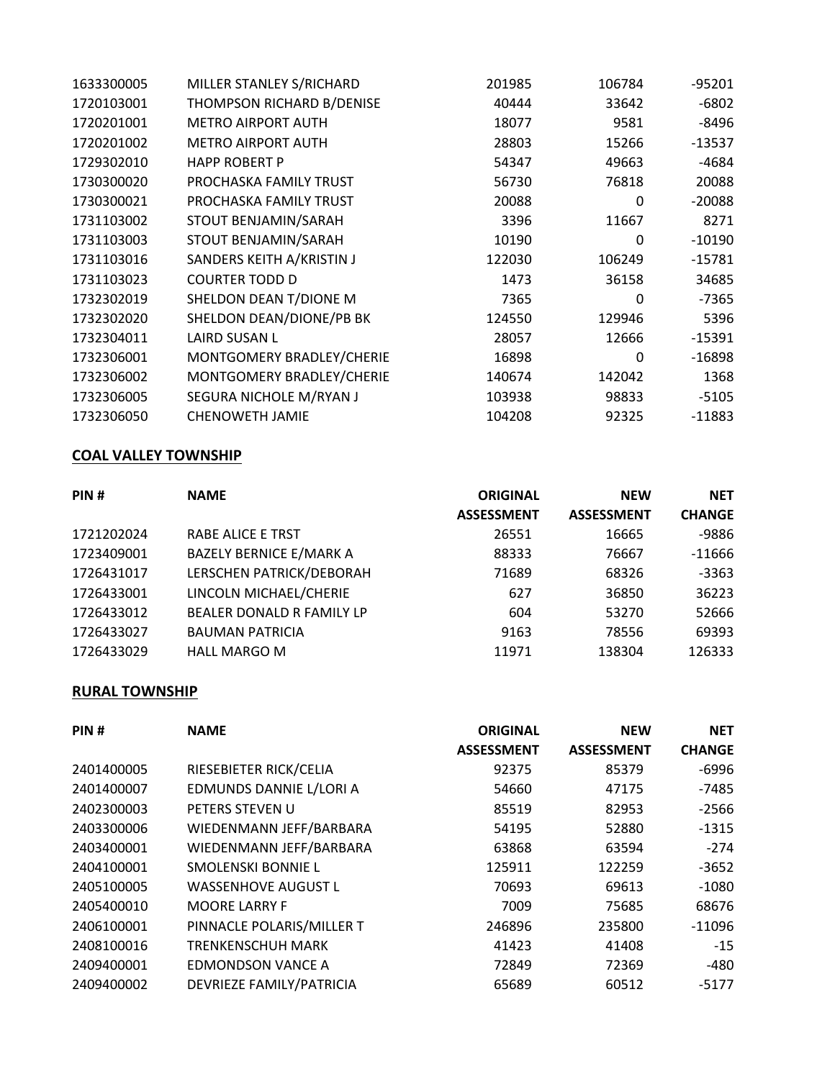| 1633300005 | MILLER STANLEY S/RICHARD  | 201985 | 106784 | $-95201$ |
|------------|---------------------------|--------|--------|----------|
| 1720103001 | THOMPSON RICHARD B/DENISE | 40444  | 33642  | $-6802$  |
| 1720201001 | <b>METRO AIRPORT AUTH</b> | 18077  | 9581   | -8496    |
| 1720201002 | <b>METRO AIRPORT AUTH</b> | 28803  | 15266  | $-13537$ |
| 1729302010 | <b>HAPP ROBERT P</b>      | 54347  | 49663  | $-4684$  |
| 1730300020 | PROCHASKA FAMILY TRUST    | 56730  | 76818  | 20088    |
| 1730300021 | PROCHASKA FAMILY TRUST    | 20088  | 0      | $-20088$ |
| 1731103002 | STOUT BENJAMIN/SARAH      | 3396   | 11667  | 8271     |
| 1731103003 | STOUT BENJAMIN/SARAH      | 10190  | 0      | $-10190$ |
| 1731103016 | SANDERS KEITH A/KRISTIN J | 122030 | 106249 | $-15781$ |
| 1731103023 | <b>COURTER TODD D</b>     | 1473   | 36158  | 34685    |
| 1732302019 | SHELDON DEAN T/DIONE M    | 7365   | 0      | $-7365$  |
| 1732302020 | SHELDON DEAN/DIONE/PB BK  | 124550 | 129946 | 5396     |
| 1732304011 | <b>LAIRD SUSAN L</b>      | 28057  | 12666  | -15391   |
| 1732306001 | MONTGOMERY BRADLEY/CHERIE | 16898  | 0      | $-16898$ |
| 1732306002 | MONTGOMERY BRADLEY/CHERIE | 140674 | 142042 | 1368     |
| 1732306005 | SEGURA NICHOLE M/RYAN J   | 103938 | 98833  | $-5105$  |
| 1732306050 | <b>CHENOWETH JAMIE</b>    | 104208 | 92325  | $-11883$ |
|            |                           |        |        |          |

## **COAL VALLEY TOWNSHIP**

| PIN#       | <b>NAME</b>                    | <b>ORIGINAL</b>   | <b>NEW</b>        | <b>NET</b>    |
|------------|--------------------------------|-------------------|-------------------|---------------|
|            |                                | <b>ASSESSMENT</b> | <b>ASSESSMENT</b> | <b>CHANGE</b> |
| 1721202024 | RABE ALICE E TRST              | 26551             | 16665             | -9886         |
| 1723409001 | <b>BAZELY BERNICE E/MARK A</b> | 88333             | 76667             | $-11666$      |
| 1726431017 | LERSCHEN PATRICK/DEBORAH       | 71689             | 68326             | $-3363$       |
| 1726433001 | LINCOLN MICHAEL/CHERIE         | 627               | 36850             | 36223         |
| 1726433012 | BEALER DONALD R FAMILY LP      | 604               | 53270             | 52666         |
| 1726433027 | <b>BAUMAN PATRICIA</b>         | 9163              | 78556             | 69393         |
| 1726433029 | <b>HALL MARGO M</b>            | 11971             | 138304            | 126333        |

# **RURAL TOWNSHIP**

| PIN#       | <b>NAME</b>                | <b>ORIGINAL</b>   | <b>NEW</b>        | <b>NET</b>    |
|------------|----------------------------|-------------------|-------------------|---------------|
|            |                            | <b>ASSESSMENT</b> | <b>ASSESSMENT</b> | <b>CHANGE</b> |
| 2401400005 | RIESEBIETER RICK/CELIA     | 92375             | 85379             | $-6996$       |
| 2401400007 | EDMUNDS DANNIE L/LORI A    | 54660             | 47175             | $-7485$       |
| 2402300003 | PETERS STEVEN U            | 85519             | 82953             | $-2566$       |
| 2403300006 | WIEDENMANN JEFF/BARBARA    | 54195             | 52880             | $-1315$       |
| 2403400001 | WIEDENMANN JEFF/BARBARA    | 63868             | 63594             | $-274$        |
| 2404100001 | <b>SMOLENSKI BONNIE L</b>  | 125911            | 122259            | $-3652$       |
| 2405100005 | <b>WASSENHOVE AUGUST L</b> | 70693             | 69613             | $-1080$       |
| 2405400010 | <b>MOORE LARRY F</b>       | 7009              | 75685             | 68676         |
| 2406100001 | PINNACLE POLARIS/MILLER T  | 246896            | 235800            | $-11096$      |
| 2408100016 | <b>TRENKENSCHUH MARK</b>   | 41423             | 41408             | $-15$         |
| 2409400001 | <b>EDMONDSON VANCE A</b>   | 72849             | 72369             | -480          |
| 2409400002 | DEVRIEZE FAMILY/PATRICIA   | 65689             | 60512             | $-5177$       |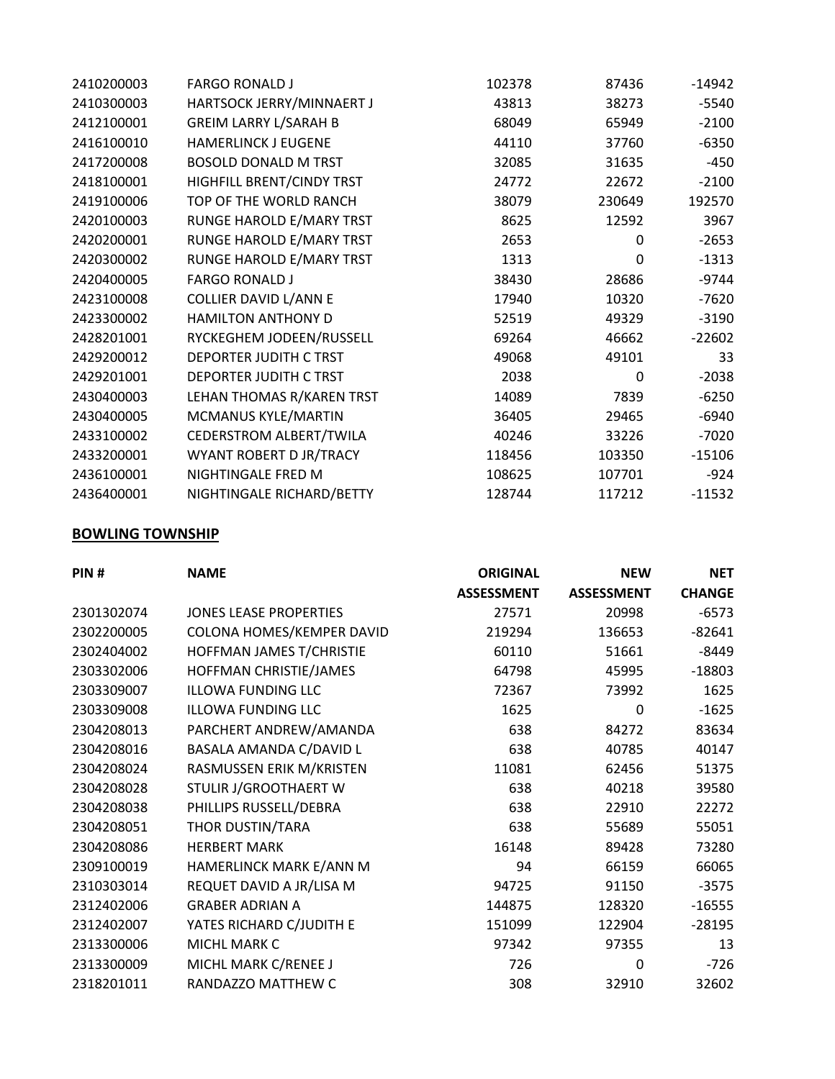| 2410200003 | <b>FARGO RONALD J</b>        | 102378 | 87436        | $-14942$ |
|------------|------------------------------|--------|--------------|----------|
| 2410300003 | HARTSOCK JERRY/MINNAERT J    | 43813  | 38273        | $-5540$  |
| 2412100001 | <b>GREIM LARRY L/SARAH B</b> | 68049  | 65949        | $-2100$  |
| 2416100010 | <b>HAMERLINCK J EUGENE</b>   | 44110  | 37760        | $-6350$  |
| 2417200008 | <b>BOSOLD DONALD M TRST</b>  | 32085  | 31635        | $-450$   |
| 2418100001 | HIGHFILL BRENT/CINDY TRST    | 24772  | 22672        | $-2100$  |
| 2419100006 | TOP OF THE WORLD RANCH       | 38079  | 230649       | 192570   |
| 2420100003 | RUNGE HAROLD E/MARY TRST     | 8625   | 12592        | 3967     |
| 2420200001 | RUNGE HAROLD E/MARY TRST     | 2653   | 0            | $-2653$  |
| 2420300002 | RUNGE HAROLD E/MARY TRST     | 1313   | $\mathbf{0}$ | $-1313$  |
| 2420400005 | <b>FARGO RONALD J</b>        | 38430  | 28686        | $-9744$  |
| 2423100008 | <b>COLLIER DAVID L/ANN E</b> | 17940  | 10320        | $-7620$  |
| 2423300002 | <b>HAMILTON ANTHONY D</b>    | 52519  | 49329        | $-3190$  |
| 2428201001 | RYCKEGHEM JODEEN/RUSSELL     | 69264  | 46662        | $-22602$ |
| 2429200012 | DEPORTER JUDITH C TRST       | 49068  | 49101        | 33       |
| 2429201001 | DEPORTER JUDITH C TRST       | 2038   | 0            | $-2038$  |
| 2430400003 | LEHAN THOMAS R/KAREN TRST    | 14089  | 7839         | $-6250$  |
| 2430400005 | MCMANUS KYLE/MARTIN          | 36405  | 29465        | $-6940$  |
| 2433100002 | CEDERSTROM ALBERT/TWILA      | 40246  | 33226        | $-7020$  |
| 2433200001 | WYANT ROBERT D JR/TRACY      | 118456 | 103350       | $-15106$ |
| 2436100001 | NIGHTINGALE FRED M           | 108625 | 107701       | -924     |
| 2436400001 | NIGHTINGALE RICHARD/BETTY    | 128744 | 117212       | $-11532$ |

# **BOWLING TOWNSHIP**

| PIN#       | <b>NAME</b>                   | <b>ORIGINAL</b>   | <b>NEW</b>        | <b>NET</b>    |
|------------|-------------------------------|-------------------|-------------------|---------------|
|            |                               | <b>ASSESSMENT</b> | <b>ASSESSMENT</b> | <b>CHANGE</b> |
| 2301302074 | <b>JONES LEASE PROPERTIES</b> | 27571             | 20998             | $-6573$       |
| 2302200005 | COLONA HOMES/KEMPER DAVID     | 219294            | 136653            | $-82641$      |
| 2302404002 | HOFFMAN JAMES T/CHRISTIE      | 60110             | 51661             | $-8449$       |
| 2303302006 | HOFFMAN CHRISTIE/JAMES        | 64798             | 45995             | $-18803$      |
| 2303309007 | <b>ILLOWA FUNDING LLC</b>     | 72367             | 73992             | 1625          |
| 2303309008 | <b>ILLOWA FUNDING LLC</b>     | 1625              | $\mathbf{0}$      | $-1625$       |
| 2304208013 | PARCHERT ANDREW/AMANDA        | 638               | 84272             | 83634         |
| 2304208016 | BASALA AMANDA C/DAVID L       | 638               | 40785             | 40147         |
| 2304208024 | RASMUSSEN ERIK M/KRISTEN      | 11081             | 62456             | 51375         |
| 2304208028 | STULIR J/GROOTHAERT W         | 638               | 40218             | 39580         |
| 2304208038 | PHILLIPS RUSSELL/DEBRA        | 638               | 22910             | 22272         |
| 2304208051 | THOR DUSTIN/TARA              | 638               | 55689             | 55051         |
| 2304208086 | <b>HERBERT MARK</b>           | 16148             | 89428             | 73280         |
| 2309100019 | HAMERLINCK MARK E/ANN M       | 94                | 66159             | 66065         |
| 2310303014 | REQUET DAVID A JR/LISA M      | 94725             | 91150             | $-3575$       |
| 2312402006 | <b>GRABER ADRIAN A</b>        | 144875            | 128320            | $-16555$      |
| 2312402007 | YATES RICHARD C/JUDITH E      | 151099            | 122904            | $-28195$      |
| 2313300006 | MICHL MARK C                  | 97342             | 97355             | 13            |
| 2313300009 | MICHL MARK C/RENEE J          | 726               | $\mathbf{0}$      | $-726$        |
| 2318201011 | RANDAZZO MATTHEW C            | 308               | 32910             | 32602         |